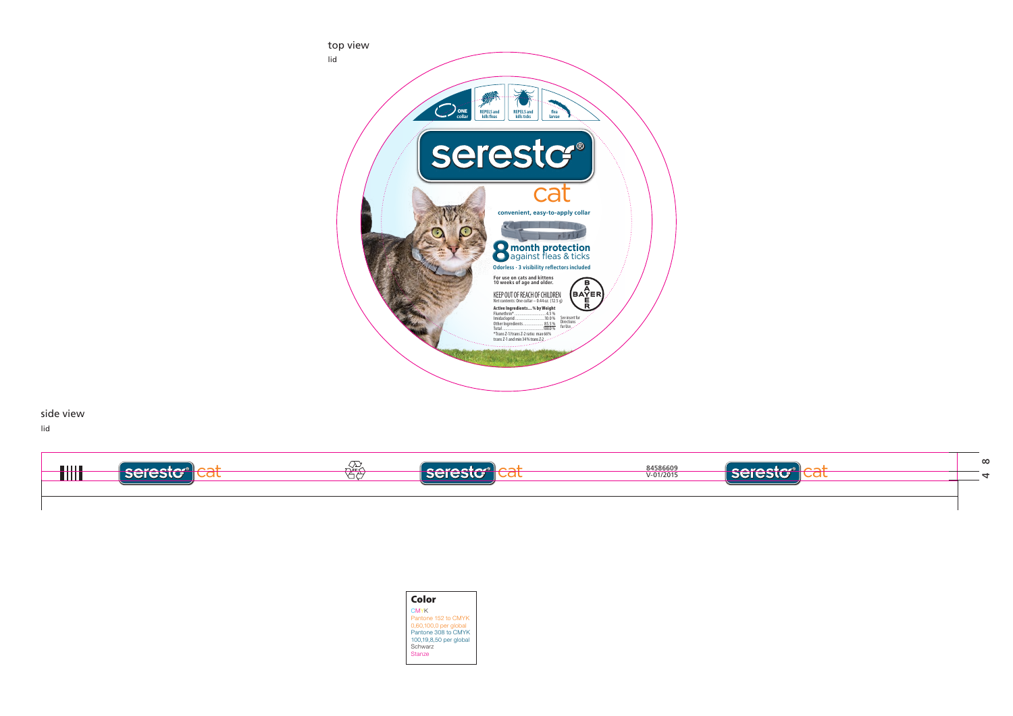

| Color                  |
|------------------------|
| <b>CMYK</b>            |
| Pantone 152 to CMYK    |
| 0,60,100,0 per global  |
| Pantone 308 to CMYK    |
| 100,19,8,50 per global |
| Schwarz                |
| <b>Stanze</b>          |



side view

lid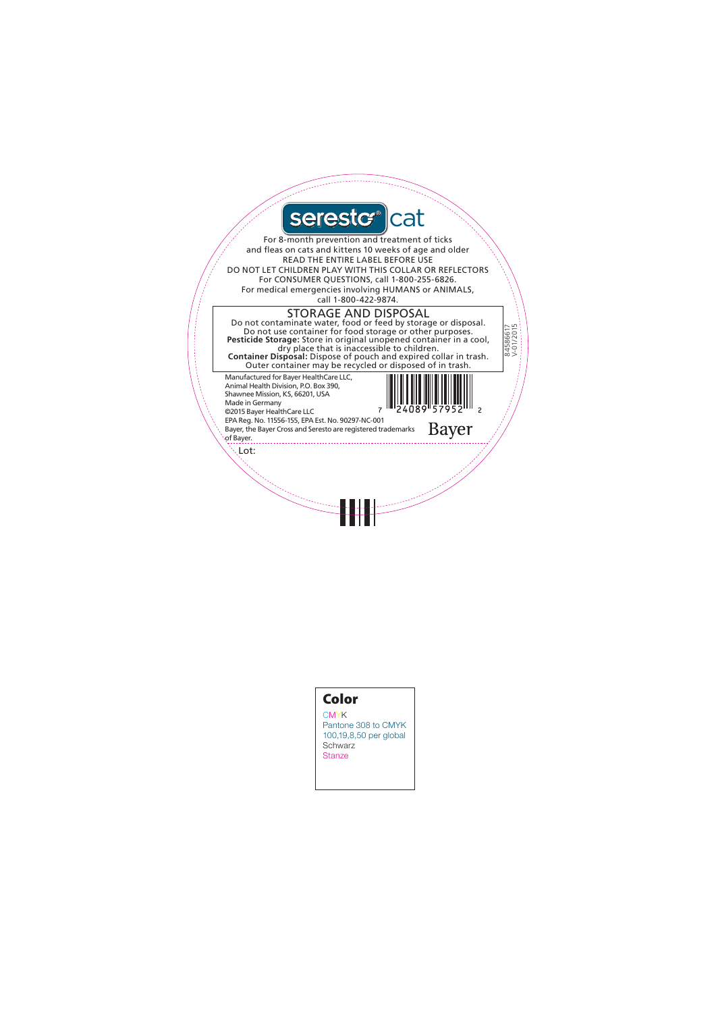

## Color

**CMYK** Pantone 308 to CMYK 100,19,8,50 per global **Schwarz** Stanze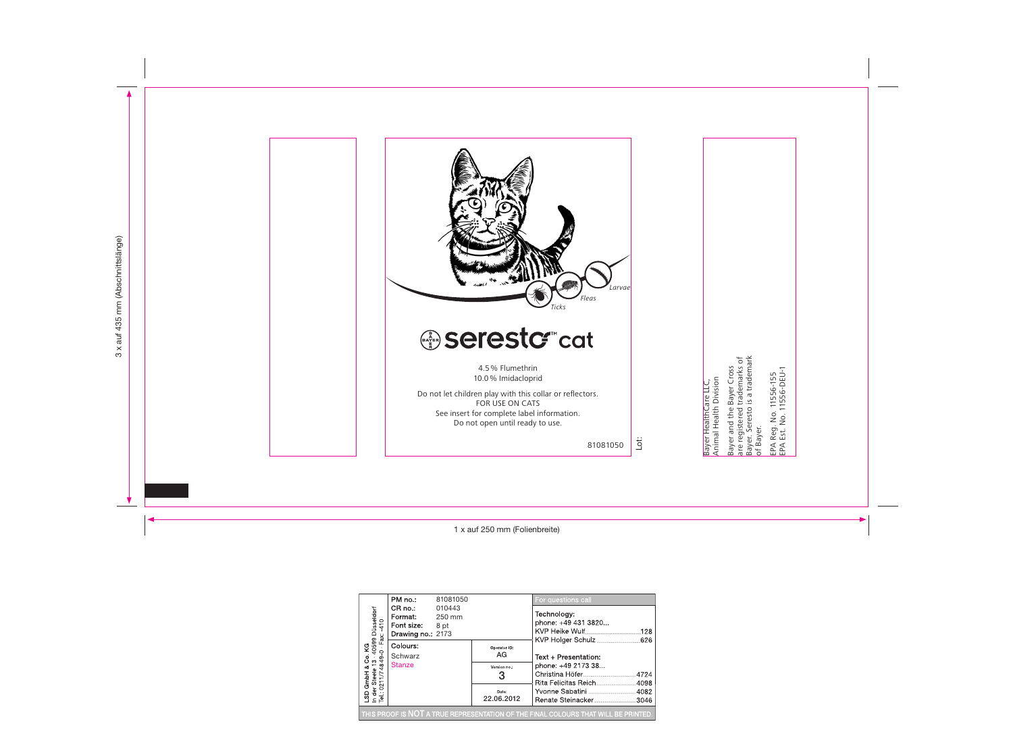

| ), KG<br>- 40599 Düsseldorf<br>--0 - Fax: -410<br>49-0<br>≑ ສ<br>GmbH &<br>r Steele<br>0211/74<br>021<br>횱<br>$\frac{5}{2}$ | PM no.:                                              | 81081050                 |                     | For questions call                         |      |
|-----------------------------------------------------------------------------------------------------------------------------|------------------------------------------------------|--------------------------|---------------------|--------------------------------------------|------|
|                                                                                                                             | CR no:<br>Format:<br>Font size:<br>Drawing no.: 2173 | 010443<br>250 mm<br>8 pt |                     | Technology:<br>phone: +49 431 3820         | .128 |
|                                                                                                                             | Colours:<br>Schwarz<br><b>Stanze</b>                 |                          | Operator ID:<br>AG  | Text + Presentation:<br>phone: +49 2173 38 |      |
|                                                                                                                             |                                                      |                          | Version no.:<br>3   |                                            |      |
|                                                                                                                             |                                                      |                          | Date:<br>22.06.2012 |                                            |      |
| THIS PROOF IS NOT A TRUE REPRESENTATION OF THE FINAL COLOURS THAT WILL BE PRINTED                                           |                                                      |                          |                     |                                            |      |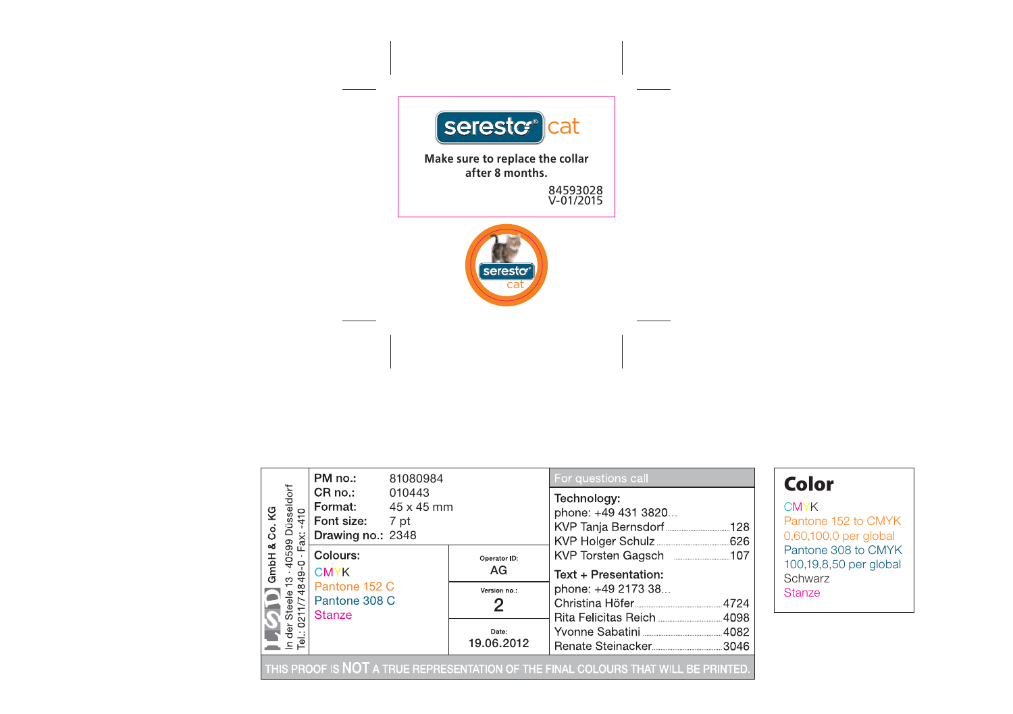

|                                                                                                                                                                                       | PM no.:<br>81080984                                                     |                     | For questions call                                           | Color                                            |  |  |
|---------------------------------------------------------------------------------------------------------------------------------------------------------------------------------------|-------------------------------------------------------------------------|---------------------|--------------------------------------------------------------|--------------------------------------------------|--|--|
| 40599 Düsseldorf<br>·0 · Fax: -410<br>Co.KG<br>$\frac{1}{2}$<br>ax:<br>త<br>GmbH<br>$\frac{3}{9}$ $\frac{4}{9}$<br>$\frac{8}{4}$<br>teele<br>11/74<br>$\overline{\mathcal{L}}$<br>đer | CR no.:<br>010443<br>Format:<br>Font size:<br>7 pt<br>Drawing no.: 2348 | 45 x 45 mm          | Technology:<br>phone: +49 431 3820<br>KVP Tanja Bernsdorf128 | <b>CMYK</b><br>Pantone <sup>®</sup><br>0,60,100, |  |  |
|                                                                                                                                                                                       | Colours:<br><b>CMYK</b>                                                 | Operator ID:<br>AG  | Text + Presentation:<br>phone: +49 2173 38                   | Pantone:<br>100, 19.8,<br>Schwarz                |  |  |
|                                                                                                                                                                                       | Pantone 152 C<br>Pantone 308 C<br><b>Stanze</b>                         | Version no.:        |                                                              | <b>Stanze</b>                                    |  |  |
|                                                                                                                                                                                       |                                                                         | Date:<br>19.06.2012 |                                                              |                                                  |  |  |
| THIS PROOF IS NOT A TRUE REPRESENTATION OF THE FINAL COLOURS THAT WILL BE PRINTED.                                                                                                    |                                                                         |                     |                                                              |                                                  |  |  |

**MYK** antone 152 to CMYK 0,60,100,0 per global antone 308 to CMYK 00,19,8,50 per global chwarz anze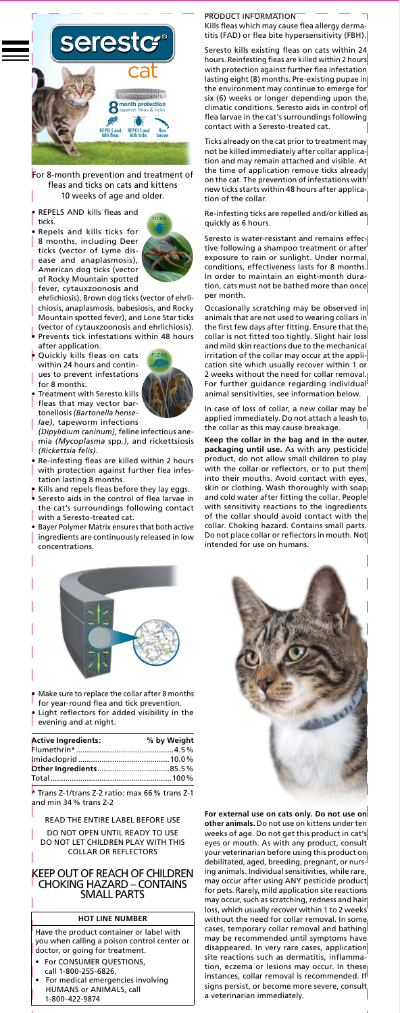

For 8-month prevention and treatment of fleas and ticks on cats and kittens 10 weeks of age and older.

- REPELS AND kills fleas and ticks.
- Repels and kills ticks for 8 months, including Deer ticks (vector of Lyme disease and anaplasmosis),





- ehrlichiosis), Brown dog ticks (vector of ehrlichiosis, anaplasmosis, babesiosis, and Rocky Mountain spotted fever), and Lone Star ticks
- (vector of cytauxzoonosis and ehrlichiosis). • Prevents tick infestations within 48 hours after application.
- • Quickly kills fleas on cats within 24 hours and continues to prevent infestations for 8 months.



- $\bullet$  Treatment with Seresto kills fleas that may vector bartonellosis *(Bartonella henselae)*, tapeworm infections
- *(Dipylidium caninum)*, feline infectious anemia *(Mycoplasma* spp*.)*, and rickettsiosis *(Rickettsia felis)*.
- • Re-infesting fleas are killed within 2 hours with protection against further flea infestation lasting 8 months.
- $\bullet\,$  Kills and repels fleas before they lay eggs.
- • Seresto aids in the control of flea larvae in the cat's surroundings following contact
- with <sup>a</sup> Seresto-treated cat. Bayer Polymer Matrix ensures that both active ingredients are continuously released in low concentrations.



- • Make sure to replace the collar after 8 months
- for year-round flea and tick prevention. Light reflectors for added visibility in the evening and at night.

| <b>Active Ingredients:</b> | % by Weight |
|----------------------------|-------------|
|                            |             |
|                            |             |
|                            |             |
|                            |             |

\* Trans Z-1/trans Z-2 ratio: max 66% trans Z-1 and min 34 % trans Z-2

READ THE ENTIRE LABEL BEFORE USE DO NOT OPEN UNTIL READY TO USE DO NOT LET CHILDREN PLAY WITH THIS COLLAR OR REFLECTORS

#### KEEP OUT OF REACH OF CHILDREN CHOKING HAZARD – CONTAINS SMALLPARTS

# **HOT LINE NUMBER**

Have the product container or label with you when calling <sup>a</sup> poison control center or doctor, or going for treatment.

- • For CONSUMER QUESTIONS, call 1-800-255-6826.
- • For medical emergencies involving HUMANS or ANIMALS, call 1-800-422-9874

### PRODUCT INFORMATION

Kills fleas which may cause flea allergy dermatitis (FAD) or flea bite hypersensitivity (FBH).

Seresto kills existing fleas on cats within 24 hours. Reinfesting fleas are killed within 2 hours with protection against further flea infestation lasting eight (8) months. Pre-existing pupae in the environment may continue to emerge for six (6) weeks or longer depending upon the climatic conditions. Seresto aids in control of flea larvae in the cat's surroundings following contact with <sup>a</sup> Seresto-treated cat.

Ticks already on the cat prior to treatment may not be killed immediately after collar application and may remain attached and visible. At the time of application remove ticks already on the cat. The prevention of infestations with new ticks starts within 48 hours after application of the collar.

Re-infesting ticks are repelled and/or killed as quickly as 6 hours.

Seresto is water-resistant and remains effective following <sup>a</sup> shampoo treatment or after exposure to rain or sunlight. Under normal conditions, effectiveness lasts for 8 months. In order to maintain an eight-month duration, cats must not be bathed more than once per month.

Occasionally scratching may be observed in animals that are not used to wearing collars in the first few days after fitting. Ensure that the collar is not fitted too tightly. Slight hair loss and mild skin reactions due to the mechanical irritation of the collar may occur at the application site which usually recover within 1 or 2 weeks without the need for collar removal. For further guidance regarding individual animal sensitivities, see information below.

In case of loss of collar, <sup>a</sup> new collar may be applied immediately. Do not attach <sup>a</sup> leash to the collar as this may cause breakage.

**Keep the collar in the bag and in the outer packaging until use.** As with any pesticide product, do not allow small children to play with the collar or reflectors, or to put them into their mouths. Avoid contact with eyes, skin or clothing. Wash thoroughly with soap and cold water after fitting the collar. People with sensitivity reactions to the ingredients of the collar should avoid contact with the collar. Choking hazard. Contains small parts. Do not place collar or reflectors in mouth. Not intended for use on humans.



**For external use on cats only. Do not use on other animals.** Do not use on kittens under ten weeks of age. Do not get this product in cat's eyes or mouth. As with any product, consult your veterinarian before using this product on debilitated, aged, breeding, pregnant, or nursing animals. Individual sensitivities, while rare, may occur after using ANY pesticide product for pets. Rarely, mild application site reactions may occur, such as scratching, redness and hair loss, which usually recover within 1 to 2 weeks without the need for collar removal. In some cases, temporary collar removal and bathing may be recommended until symptoms have disappeared. In very rare cases, application site reactions such as dermatitis, inflammation, eczema or lesions may occur. In these instances, collar removal is recommended. If signs persist, or become more severe, consult a veterinarian immediately.